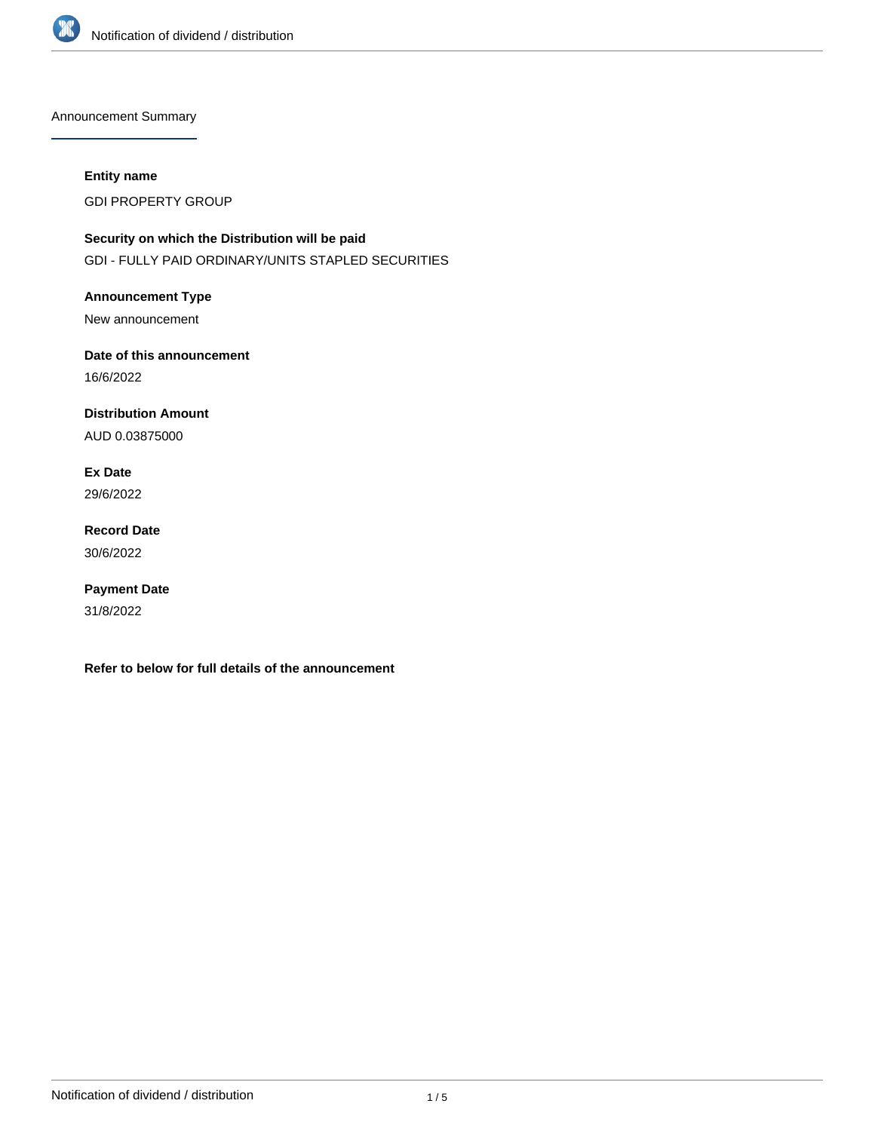

Announcement Summary

### **Entity name**

GDI PROPERTY GROUP

**Security on which the Distribution will be paid** GDI - FULLY PAID ORDINARY/UNITS STAPLED SECURITIES

**Announcement Type** New announcement

**Date of this announcement** 16/6/2022

**Distribution Amount**

AUD 0.03875000

**Ex Date** 29/6/2022

**Record Date** 30/6/2022

**Payment Date** 31/8/2022

**Refer to below for full details of the announcement**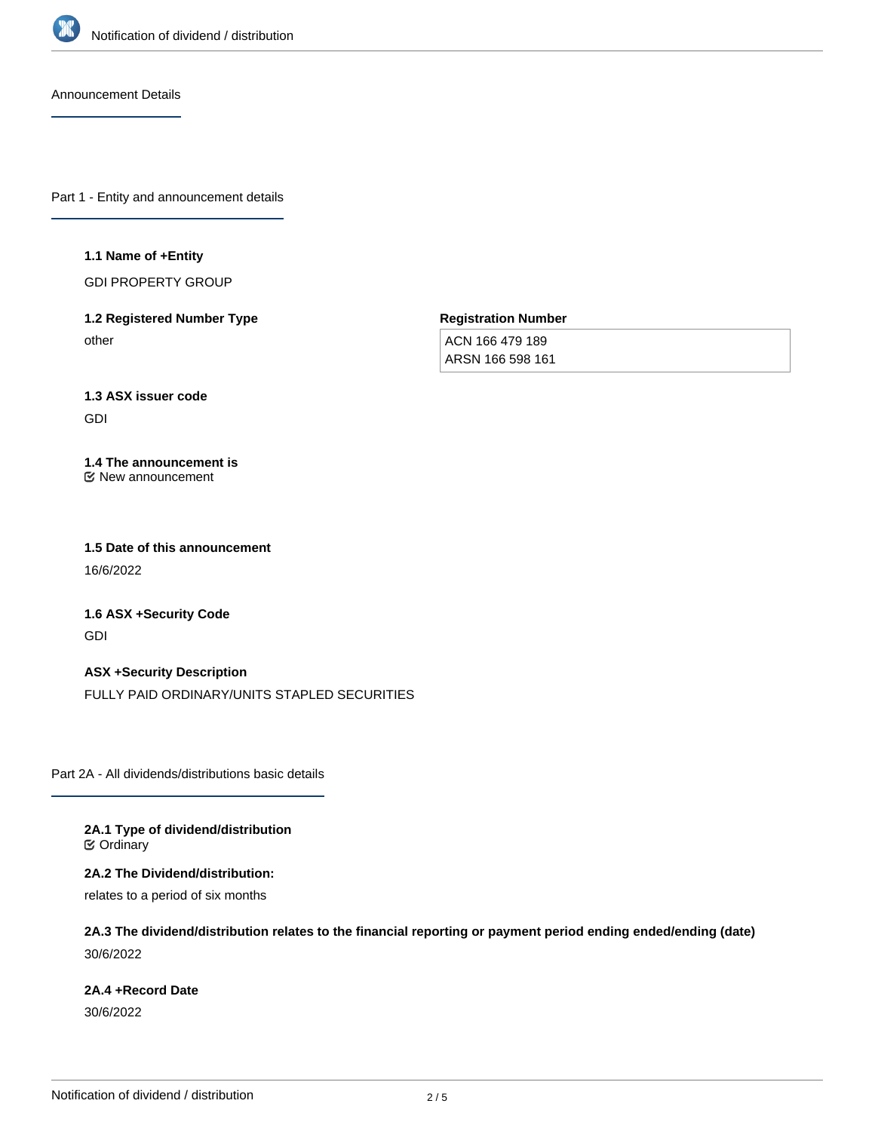

Announcement Details

Part 1 - Entity and announcement details

#### **1.1 Name of +Entity**

GDI PROPERTY GROUP

# **1.2 Registered Number Type** other

**Registration Number**

ACN 166 479 189 ARSN 166 598 161

#### **1.3 ASX issuer code**

GDI

#### **1.4 The announcement is** New announcement

**1.5 Date of this announcement** 16/6/2022

**1.6 ASX +Security Code**

GDI

**ASX +Security Description** FULLY PAID ORDINARY/UNITS STAPLED SECURITIES

Part 2A - All dividends/distributions basic details

**2A.1 Type of dividend/distribution** Ordinary

**2A.2 The Dividend/distribution:**

relates to a period of six months

**2A.3 The dividend/distribution relates to the financial reporting or payment period ending ended/ending (date)** 30/6/2022

## **2A.4 +Record Date**

30/6/2022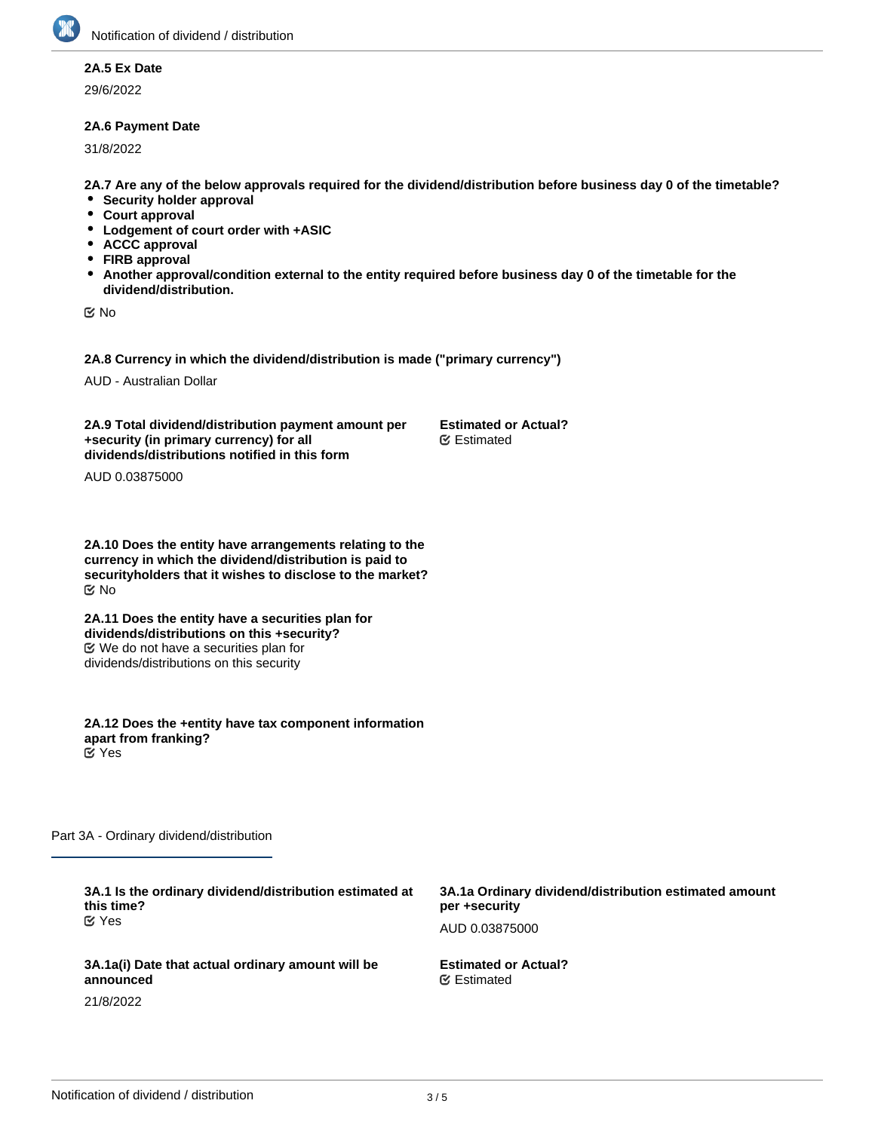## **2A.5 Ex Date**

29/6/2022

### **2A.6 Payment Date**

31/8/2022

**2A.7 Are any of the below approvals required for the dividend/distribution before business day 0 of the timetable?**

**Estimated or Actual?**

Estimated

- **Security holder approval**
- **Court approval**
- **Lodgement of court order with +ASIC**
- **ACCC approval**
- **FIRB approval**
- $\bullet$ **Another approval/condition external to the entity required before business day 0 of the timetable for the dividend/distribution.**

No

**2A.8 Currency in which the dividend/distribution is made ("primary currency")**

AUD - Australian Dollar

**2A.9 Total dividend/distribution payment amount per +security (in primary currency) for all dividends/distributions notified in this form**

AUD 0.03875000

**2A.10 Does the entity have arrangements relating to the currency in which the dividend/distribution is paid to securityholders that it wishes to disclose to the market?** No

**2A.11 Does the entity have a securities plan for dividends/distributions on this +security?** We do not have a securities plan for dividends/distributions on this security

**2A.12 Does the +entity have tax component information apart from franking?** Yes

Part 3A - Ordinary dividend/distribution

**3A.1 Is the ordinary dividend/distribution estimated at this time? 3A.1a Ordinary dividend/distribution estimated amount per +security** AUD 0.03875000 **3A.1a(i) Date that actual ordinary amount will be announced** 21/8/2022 **Estimated or Actual?** Estimated Yes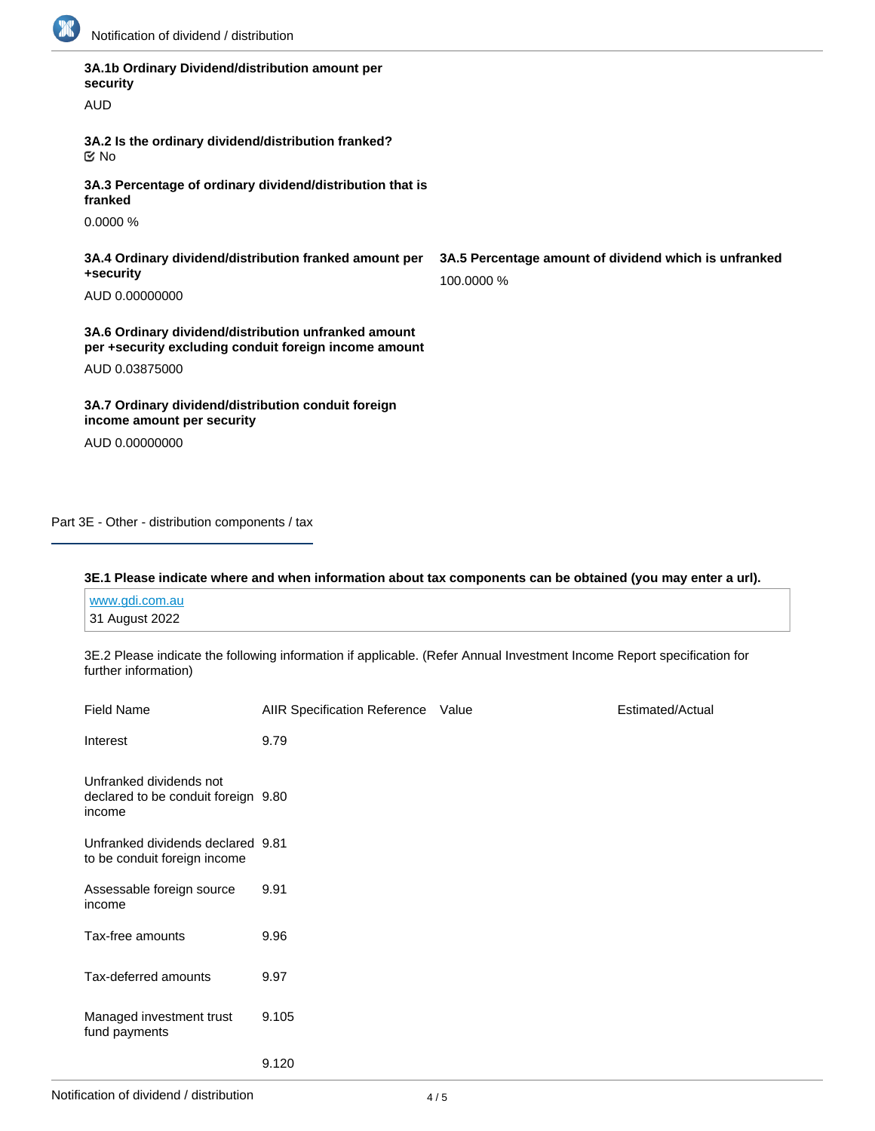

| 3A.1b Ordinary Dividend/distribution amount per<br>security                                                   |                                                                     |
|---------------------------------------------------------------------------------------------------------------|---------------------------------------------------------------------|
| <b>AUD</b>                                                                                                    |                                                                     |
| 3A.2 Is the ordinary dividend/distribution franked?<br>$\propto$ No                                           |                                                                     |
| 3A.3 Percentage of ordinary dividend/distribution that is<br>franked                                          |                                                                     |
| 0.0000%                                                                                                       |                                                                     |
| 3A.4 Ordinary dividend/distribution franked amount per<br>+security                                           | 3A.5 Percentage amount of dividend which is unfranked<br>100,0000 % |
| AUD 0.00000000                                                                                                |                                                                     |
| 3A.6 Ordinary dividend/distribution unfranked amount<br>per +security excluding conduit foreign income amount |                                                                     |
| AUD 0.03875000                                                                                                |                                                                     |
| 3A.7 Ordinary dividend/distribution conduit foreign<br>income amount per security                             |                                                                     |
| AUD 0.00000000                                                                                                |                                                                     |

Part 3E - Other - distribution components / tax

### **3E.1 Please indicate where and when information about tax components can be obtained (you may enter a url).**

| www.gdi.com.au |  |  |  |
|----------------|--|--|--|
| 31 August 2022 |  |  |  |

3E.2 Please indicate the following information if applicable. (Refer Annual Investment Income Report specification for further information)

| <b>Field Name</b>                                                        | <b>AIIR Specification Reference</b> | Value | Estimated/Actual |
|--------------------------------------------------------------------------|-------------------------------------|-------|------------------|
| Interest                                                                 | 9.79                                |       |                  |
| Unfranked dividends not<br>declared to be conduit foreign 9.80<br>income |                                     |       |                  |
| Unfranked dividends declared 9.81<br>to be conduit foreign income        |                                     |       |                  |
| Assessable foreign source<br>income                                      | 9.91                                |       |                  |
| Tax-free amounts                                                         | 9.96                                |       |                  |
| Tax-deferred amounts                                                     | 9.97                                |       |                  |
| Managed investment trust<br>fund payments                                | 9.105                               |       |                  |
|                                                                          | 9.120                               |       |                  |